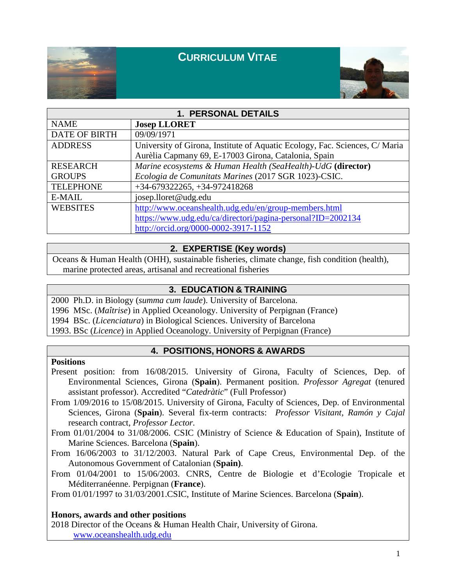

# **CURRICULUM VITAE**



| 1. PERSONAL DETAILS  |                                                                             |
|----------------------|-----------------------------------------------------------------------------|
| <b>NAME</b>          | <b>Josep LLORET</b>                                                         |
| <b>DATE OF BIRTH</b> | 09/09/1971                                                                  |
| <b>ADDRESS</b>       | University of Girona, Institute of Aquatic Ecology, Fac. Sciences, C/ Maria |
|                      | Aurèlia Capmany 69, E-17003 Girona, Catalonia, Spain                        |
| <b>RESEARCH</b>      | Marine ecosystems & Human Health (SeaHealth)-UdG (director)                 |
| <b>GROUPS</b>        | Ecologia de Comunitats Marines (2017 SGR 1023)-CSIC.                        |
| <b>TELEPHONE</b>     | $+34-679322265, +34-972418268$                                              |
| E-MAIL               | josep.lloret@udg.edu                                                        |
| <b>WEBSITES</b>      | http://www.oceanshealth.udg.edu/en/group-members.html                       |
|                      | https://www.udg.edu/ca/directori/pagina-personal?ID=2002134                 |
|                      | http://orcid.org/0000-0002-3917-1152                                        |

### **2. EXPERTISE (Key words)**

Oceans & Human Health (OHH), sustainable fisheries, climate change, fish condition (health), marine protected areas, artisanal and recreational fisheries

### **3. EDUCATION & TRAINING**

2000 Ph.D. in Biology (*summa cum laude*). University of Barcelona.

1996 MSc. (*Maîtrise*) in Applied Oceanology. University of Perpignan (France)

1994 BSc. (*Licenciatura*) in Biological Sciences. University of Barcelona

1993. BSc (*Licence*) in Applied Oceanology. University of Perpignan (France)

### **4. POSITIONS, HONORS & AWARDS**

#### **Positions**

Present position: from 16/08/2015. University of Girona, Faculty of Sciences, Dep. of Environmental Sciences, Girona (**Spain**). Permanent position. *Professor Agregat* (tenured assistant professor). Accredited "*Catedràtic*" (Full Professor)

From 1/09/2016 to 15/08/2015. University of Girona, Faculty of Sciences, Dep. of Environmental Sciences, Girona (**Spain**). Several fix-term contracts: *Professor Visitant, Ramón y Cajal* research contract, *Professor Lector.*

From 01/01/2004 to 31/08/2006. CSIC (Ministry of Science & Education of Spain), Institute of Marine Sciences. Barcelona (**Spain**).

From 16/06/2003 to 31/12/2003. Natural Park of Cape Creus, Environmental Dep. of the Autonomous Government of Catalonian (**Spain)**.

From 01/04/2001 to 15/06/2003. CNRS, Centre de Biologie et d'Ecologie Tropicale et Méditerranéenne. Perpignan (**France**).

From 01/01/1997 to 31/03/2001.CSIC, Institute of Marine Sciences. Barcelona (**Spain**).

### **Honors, awards and other positions**

2018 Director of the Oceans & Human Health Chair, University of Girona. [www.oceanshealth.udg.edu](http://www.oceanshealth.udg.edu/)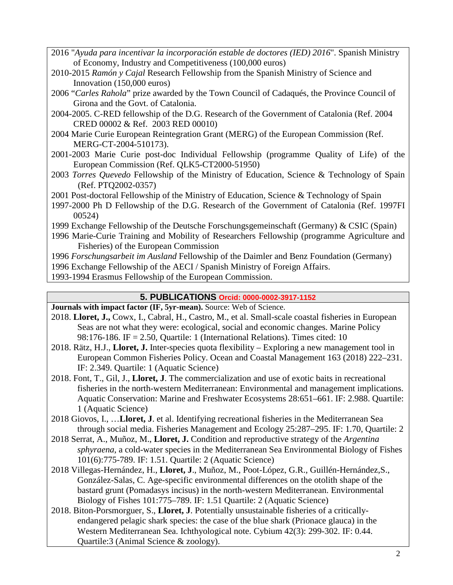- 2016 "*Ayuda para incentivar la incorporación estable de doctores (IED) 2016*". Spanish Ministry of Economy, Industry and Competitiveness (100,000 euros)
- 2010-2015 *Ramón y Cajal* Research Fellowship from the Spanish Ministry of Science and Innovation (150,000 euros)
- 2006 "*Carles Rahola*" prize awarded by the Town Council of Cadaqués, the Province Council of Girona and the Govt. of Catalonia.
- 2004-2005. C-RED fellowship of the D.G. Research of the Government of Catalonia (Ref. 2004 CRED 00002 & Ref. 2003 RED 00010)
- 2004 Marie Curie European Reintegration Grant (MERG) of the European Commission (Ref. MERG-CT-2004-510173).
- 2001-2003 Marie Curie post-doc Individual Fellowship (programme Quality of Life) of the European Commission (Ref. QLK5-CT2000-51950)
- 2003 *Torres Quevedo* Fellowship of the Ministry of Education, Science & Technology of Spain (Ref. PTQ2002-0357)
- 2001 Post-doctoral Fellowship of the Ministry of Education, Science & Technology of Spain
- 1997-2000 Ph D Fellowship of the D.G. Research of the Government of Catalonia (Ref. 1997FI 00524)
- 1999 Exchange Fellowship of the Deutsche Forschungsgemeinschaft (Germany) & CSIC (Spain)
- 1996 Marie-Curie Training and Mobility of Researchers Fellowship (programme Agriculture and Fisheries) of the European Commission

1996 *Forschungsarbeit im Ausland* Fellowship of the Daimler and Benz Foundation (Germany)

- 1996 Exchange Fellowship of the AECI / Spanish Ministry of Foreign Affairs.
- 1993-1994 Erasmus Fellowship of the European Commission.

## **5. PUBLICATIONS Orcid: 0000-0002-3917-1152**

**Journals with impact factor (IF, 5yr-mean).** Source: Web of Science.

- 2018. **Lloret, J.,** Cowx, I., Cabral, H., Castro, M., et al. Small-scale coastal fisheries in European Seas are not what they were: ecological, social and economic changes. Marine Policy 98:176-186. IF = 2.50, Quartile: 1 (International Relations). Times cited: 10
- 2018. Rätz, H.J., **Lloret, J.** Inter-species quota flexibility Exploring a new management tool in European Common Fisheries Policy. Ocean and Coastal Management 163 (2018) 222–231. IF: 2.349. Quartile: 1 (Aquatic Science)
- 2018. Font, T., Gil, J., **Lloret, J**. The commercialization and use of exotic baits in recreational fisheries in the north-western Mediterranean: Environmental and management implications. Aquatic Conservation: Marine and Freshwater Ecosystems 28:651–661. IF: 2.988. Quartile: 1 (Aquatic Science)
- 2018 Giovos, I., …**Lloret, J**. et al. Identifying recreational fisheries in the Mediterranean Sea through social media. Fisheries Management and Ecology 25:287–295. IF: 1.70, Quartile: 2
- 2018 Serrat, A., Muñoz, M., **Lloret, J.** Condition and reproductive strategy of the *Argentina sphyraena*, a cold-water species in the Mediterranean Sea Environmental Biology of Fishes 101(6):775-789. IF: 1.51. Quartile: 2 (Aquatic Science)
- 2018 Villegas-Hernández, H., **Lloret, J**., Muñoz, M., Poot-López, G.R., Guillén-Hernández,S., González-Salas, C. Age-specific environmental differences on the otolith shape of the bastard grunt (Pomadasys incisus) in the north-western Mediterranean. Environmental Biology of Fishes 101:775–789. IF: 1.51 Quartile: 2 (Aquatic Science)
- 2018. Biton-Porsmorguer, S., **Lloret, J**. Potentially unsustainable fisheries of a criticallyendangered pelagic shark species: the case of the blue shark (Prionace glauca) in the Western Mediterranean Sea. Ichthyological note. Cybium 42(3): 299-302. IF: 0.44. Quartile:3 (Animal Science & zoology).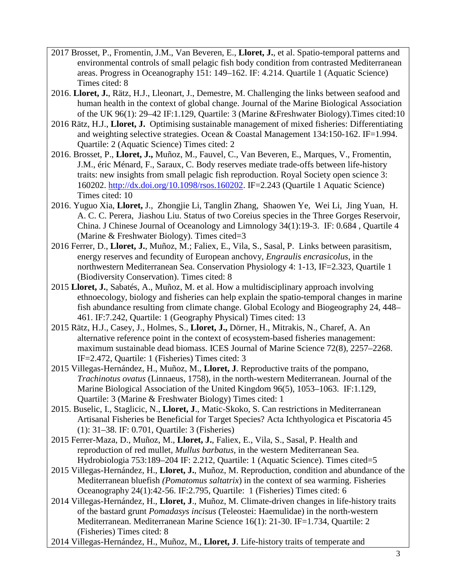- 2017 Brosset, P., Fromentin, J.M., Van Beveren, E., **Lloret, J.**, et al. Spatio-temporal patterns and environmental controls of small pelagic fish body condition from contrasted Mediterranean areas. Progress in Oceanography 151: 149–162. IF: 4.214. Quartile 1 (Aquatic Science) Times cited: 8
- 2016. **Lloret, J.**, Rätz, H.J., Lleonart, J., Demestre, M. Challenging the links between seafood and human health in the context of global change. Journal of the Marine Biological Association of the UK 96(1): 29–42 IF:1.129, Quartile: 3 (Marine &Freshwater Biology).Times cited:10
- 2016 Rätz, H.J., **Lloret, J.** Optimising sustainable management of mixed fisheries: Differentiating and weighting selective strategies. Ocean & Coastal Management 134:150-162. IF=1.994. Quartile: 2 (Aquatic Science) Times cited: 2
- 2016. Brosset, P., **Lloret, J.,** Muñoz, M., Fauvel, C., Van Beveren, E., Marques, V., Fromentin, J.M., éric Ménard, F., Saraux, C. Body reserves mediate trade-offs between life-history traits: new insights from small pelagic fish reproduction. Royal Society open science 3: 160202. [http://dx.doi.org/10.1098/rsos.160202.](http://dx.doi.org/10.1098/rsos.160202) IF=2.243 (Quartile 1 Aquatic Science) Times cited: 10
- 2016. Yuguo Xia, **Lloret,** J., Zhongjie Li, Tanglin Zhang, Shaowen Ye, Wei Li, Jing Yuan, H. A. C. C. Perera, Jiashou Liu. Status of two Coreius species in the Three Gorges Reservoir, China. J Chinese Journal of Oceanology and Limnology 34(1):19-3. IF: 0.684 , Quartile 4 (Marine  $&$  Freshwater Biology). Times cited=3
- 2016 Ferrer, D., **Lloret, J.**, Muñoz, M.; Faliex, E., Vila, S., Sasal, P. Links between parasitism, energy reserves and fecundity of European anchovy, *Engraulis encrasicolus*, in the northwestern Mediterranean Sea. Conservation Physiology 4: 1-13, IF=2.323, Quartile 1 (Biodiversity Conservation). Times cited: 8
- 2015 **Lloret, J.**, Sabatés, A., Muñoz, M. et al. How a multidisciplinary approach involving ethnoecology, biology and fisheries can help explain the spatio-temporal changes in marine fish abundance resulting from climate change. Global Ecology and Biogeography 24, 448– 461. IF:7.242, Quartile: 1 (Geography Physical) Times cited: 13
- 2015 Rätz, H.J., Casey, J., Holmes, S., **Lloret, J.,** Dörner, H., Mitrakis, N., Charef, A. An alternative reference point in the context of ecosystem-based fisheries management: maximum sustainable dead biomass. ICES Journal of Marine Science 72(8), 2257–2268. IF=2.472, Quartile: 1 (Fisheries) Times cited: 3
- 2015 Villegas-Hernández, H., Muñoz, M., **Lloret, J**. Reproductive traits of the pompano, *Trachinotus ovatus* (Linnaeus, 1758), in the north-western Mediterranean. Journal of the Marine Biological Association of the United Kingdom 96(5), 1053–1063. IF:1.129, Quartile: 3 (Marine & Freshwater Biology) Times cited: 1
- 2015. Buselic, I., Staglicic, N., **Lloret, J**., Matic-Skoko, S. Can restrictions in Mediterranean Artisanal Fisheries be Beneficial for Target Species? Acta Ichthyologica et Piscatoria 45 (1): 31–38. IF: 0.701, Quartile: 3 (Fisheries)
- 2015 Ferrer-Maza, D., Muñoz, M., **Lloret, J.**, Faliex, E., Vila, S., Sasal, P. Health and reproduction of red mullet, *Mullus barbatus,* in the western Mediterranean Sea. Hydrobiologia 753:189–204 IF: 2.212, Quartile: 1 (Aquatic Science). Times cited=5
- 2015 Villegas-Hernández, H., **Lloret, J.**, Muñoz, M. Reproduction, condition and abundance of the Mediterranean bluefish *(Pomatomus saltatrix*) in the context of sea warming. Fisheries Oceanography 24(1):42-56. IF:2.795, Quartile: 1 (Fisheries) Times cited: 6
- 2014 Villegas-Hernández, H., **Lloret, J**., Muñoz, M. Climate-driven changes in life-history traits of the bastard grunt *Pomadasys incisus* (Teleostei: Haemulidae) in the north-western Mediterranean. Mediterranean Marine Science 16(1): 21-30. IF=1.734, Quartile: 2 (Fisheries) Times cited: 8
- 2014 Villegas-Hernández, H., Muñoz, M., **Lloret, J**. Life-history traits of temperate and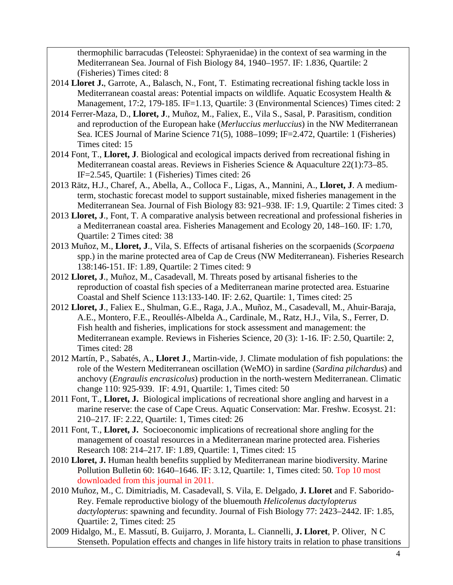thermophilic barracudas (Teleostei: Sphyraenidae) in the context of sea warming in the Mediterranean Sea. Journal of Fish Biology 84, 1940–1957. IF: 1.836, Quartile: 2 (Fisheries) Times cited: 8

- 2014 **Lloret J.**, Garrote, A., Balasch, N., Font, T. Estimating recreational fishing tackle loss in Mediterranean coastal areas: Potential impacts on wildlife. Aquatic Ecosystem Health & Management, 17:2, 179-185. IF=1.13, Quartile: 3 (Environmental Sciences) Times cited: 2
- 2014 Ferrer-Maza, D., **Lloret, J**., Muñoz, M., Faliex, E., Vila S., Sasal, P. Parasitism, condition and reproduction of the European hake (*Merluccius merluccius*) in the NW Mediterranean Sea. ICES Journal of Marine Science 71(5), 1088–1099; IF=2.472, Quartile: 1 (Fisheries) Times cited: 15
- 2014 Font, T., **Lloret, J**. Biological and ecological impacts derived from recreational fishing in Mediterranean coastal areas. Reviews in Fisheries Science & Aquaculture 22(1):73–85. IF=2.545, Quartile: 1 (Fisheries) Times cited: 26
- 2013 Rätz, H.J., Charef, A., Abella, A., Colloca F., Ligas, A., Mannini, A., **Lloret, J**. A mediumterm, stochastic forecast model to support sustainable, mixed fisheries management in the Mediterranean Sea. Journal of Fish Biology 83: 921–938. IF: 1.9, Quartile: 2 Times cited: 3
- 2013 **Lloret, J**., Font, T. A comparative analysis between recreational and professional fisheries in a Mediterranean coastal area. Fisheries Management and Ecology 20, 148–160. IF: 1.70, Quartile: 2 Times cited: 38
- 2013 Muñoz, M., **Lloret, J**., Vila, S. Effects of artisanal fisheries on the scorpaenids (*Scorpaena* spp.) in the marine protected area of Cap de Creus (NW Mediterranean). Fisheries Research 138:146-151. IF: 1.89, Quartile: 2 Times cited: 9
- 2012 **Lloret, J**., Muñoz, M., Casadevall, M. Threats posed by artisanal fisheries to the reproduction of coastal fish species of a Mediterranean marine protected area. Estuarine Coastal and Shelf Science 113:133-140. IF: 2.62, Quartile: 1, Times cited: 25
- 2012 **Lloret, J**., Faliex E., Shulman, G.E., Raga, J.A., Muñoz, M., Casadevall, M., Ahuir-Baraja, A.E., Montero, F.E., Reoullés-Albelda A., Cardinale, M., Ratz, H.J., Vila, S., Ferrer, D. Fish health and fisheries, implications for stock assessment and management: the Mediterranean example. Reviews in Fisheries Science, 20 (3): 1-16. IF: 2.50, Quartile: 2, Times cited: 28
- 2012 Martín, P., Sabatés, A., **Lloret J**., Martin-vide, J. Climate modulation of fish populations: the role of the Western Mediterranean oscillation (WeMO) in sardine (*Sardina pilchardus*) and anchovy (*Engraulis encrasicolus*) production in the north-western Mediterranean. Climatic change 110: 925-939. IF: 4.91, Quartile: 1, Times cited: 50
- 2011 Font, T., **Lloret, J.** Biological implications of recreational shore angling and harvest in a marine reserve: the case of Cape Creus. Aquatic Conservation: Mar. Freshw. Ecosyst. 21: 210–217. IF: 2.22, Quartile: 1, Times cited: 26
- 2011 Font, T., **Lloret, J.** Socioeconomic implications of recreational shore angling for the management of coastal resources in a Mediterranean marine protected area. Fisheries Research 108: 214–217. IF: 1.89, Quartile: 1, Times cited: 15
- 2010 **Lloret, J.** Human health benefits supplied by Mediterranean marine biodiversity. Marine Pollution Bulletin 60: 1640–1646. IF: 3.12, Quartile: 1, Times cited: 50. Top 10 most downloaded from this journal in 2011.
- 2010 Muñoz, M., C. Dimitriadis, M. Casadevall, S. Vila, E. Delgado, **J. Lloret** and F. Saborido-Rey. Female reproductive biology of the bluemouth *Helicolenus dactylopterus dactylopterus*: spawning and fecundity. Journal of Fish Biology 77: 2423–2442. IF: 1.85, Quartile: 2, Times cited: 25
- 2009 Hidalgo, M., E. Massutí, B. Guijarro, J. Moranta, L. Ciannelli, **J. Lloret**, P. Oliver, N C Stenseth. Population effects and changes in life history traits in relation to phase transitions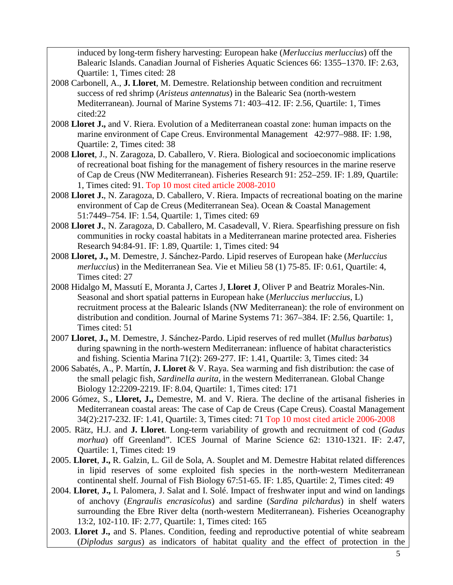induced by long-term fishery harvesting: European hake (*Merluccius merluccius*) off the Balearic Islands. Canadian Journal of Fisheries Aquatic Sciences 66: 1355–1370. IF: 2.63, Quartile: 1, Times cited: 28

- 2008 Carbonell, A., **J. Lloret**, M. Demestre. Relationship between condition and recruitment success of red shrimp (*Aristeus antennatus*) in the Balearic Sea (north-western Mediterranean). Journal of Marine Systems 71: 403–412. IF: 2.56, Quartile: 1, Times cited:22
- 2008 **Lloret J.,** and V. Riera. Evolution of a Mediterranean coastal zone: human impacts on the marine environment of Cape Creus. Environmental Management 42:977–988. IF: 1.98, Quartile: 2, Times cited: 38
- 2008 **Lloret**, J., N. Zaragoza, D. Caballero, V. Riera. Biological and socioeconomic implications of recreational boat fishing for the management of fishery resources in the marine reserve of Cap de Creus (NW Mediterranean). Fisheries Research 91: 252–259. IF: 1.89, Quartile: 1, Times cited: 91. Top 10 most cited article 2008-2010
- 2008 **Lloret J.**, N. Zaragoza, D. Caballero, V. Riera. Impacts of recreational boating on the marine environment of Cap de Creus (Mediterranean Sea). Ocean & Coastal Management 51:7449–754. IF: 1.54, Quartile: 1, Times cited: 69
- 2008 **Lloret J.**, N. Zaragoza, D. Caballero, M. Casadevall, V. Riera. Spearfishing pressure on fish communities in rocky coastal habitats in a Mediterranean marine protected area. Fisheries Research 94:84-91. IF: 1.89, Quartile: 1, Times cited: 94
- 2008 **Lloret, J.,** M. Demestre, J. Sánchez-Pardo. Lipid reserves of European hake (*Merluccius merluccius*) in the Mediterranean Sea. Vie et Milieu 58 (1) 75-85. IF: 0.61, Quartile: 4, Times cited: 27
- 2008 Hidalgo M, Massutí E, Moranta J, Cartes J, **Lloret J**, Oliver P and Beatriz Morales-Nin. Seasonal and short spatial patterns in European hake (*Merluccius merluccius*, L) recruitment process at the Balearic Islands (NW Mediterranean): the role of environment on distribution and condition. Journal of Marine Systems 71: 367–384. IF: 2.56, Quartile: 1, Times cited: 51
- 2007 **Lloret**, **J.,** M. Demestre, J. Sánchez-Pardo. Lipid reserves of red mullet (*Mullus barbatus*) during spawning in the north-western Mediterranean: influence of habitat characteristics and fishing. Scientia Marina 71(2): 269-277. IF: 1.41, Quartile: 3, Times cited: 34
- 2006 Sabatés, A., P. Martín, **J. Lloret** & V. Raya. Sea warming and fish distribution: the case of the small pelagic fish, *Sardinella aurita*, in the western Mediterranean. Global Change Biology 12:2209-2219. IF: 8.04, Quartile: 1, Times cited: 171
- 2006 Gómez, S., **Lloret, J.,** Demestre, M. and V. Riera. The decline of the artisanal fisheries in Mediterranean coastal areas: The case of Cap de Creus (Cape Creus). Coastal Management 34(2):217-232. IF: 1.41, Quartile: 3, Times cited: 71 Top 10 most cited article 2006-2008
- 2005. Rätz, H.J. and **J. Lloret**. Long-term variability of growth and recruitment of cod (*Gadus morhua*) off Greenland". ICES Journal of Marine Science 62: 1310-1321. IF: 2.47, Quartile: 1, Times cited: 19
- 2005. **Lloret**, **J.,** R. Galzin, L. Gil de Sola, A. Souplet and M. Demestre Habitat related differences in lipid reserves of some exploited fish species in the north-western Mediterranean continental shelf. Journal of Fish Biology 67:51-65. IF: 1.85, Quartile: 2, Times cited: 49
- 2004. **Lloret**, **J.,** I. Palomera, J. Salat and I. Solé. Impact of freshwater input and wind on landings of anchovy (*Engraulis encrasicolus*) and sardine (*Sardina pilchardus*) in shelf waters surrounding the Ebre River delta (north-western Mediterranean). Fisheries Oceanography 13:2, 102-110. IF: 2.77, Quartile: 1, Times cited: 165
- 2003. **Lloret J.,** and S. Planes. Condition, feeding and reproductive potential of white seabream (*Diplodus sargus*) as indicators of habitat quality and the effect of protection in the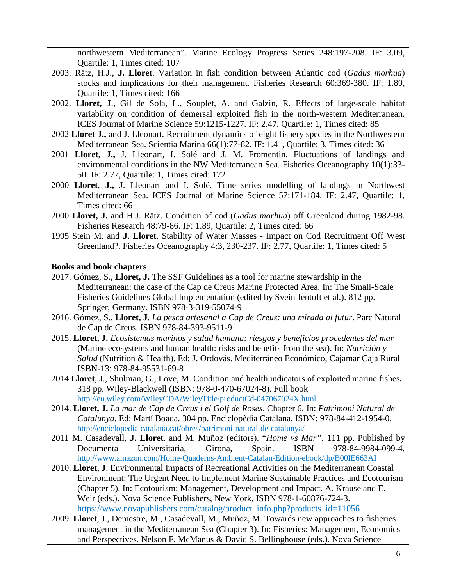northwestern Mediterranean". Marine Ecology Progress Series 248:197-208. IF: 3.09, Quartile: 1, Times cited: 107

- 2003. Rätz, H.J., **J. Lloret**. Variation in fish condition between Atlantic cod (*Gadus morhua*) stocks and implications for their management. Fisheries Research 60:369-380. IF: 1.89, Quartile: 1, Times cited: 166
- 2002. **Lloret, J**., Gil de Sola, L., Souplet, A. and Galzin, R. Effects of large-scale habitat variability on condition of demersal exploited fish in the north-western Mediterranean. ICES Journal of Marine Science 59:1215-1227. IF: 2.47, Quartile: 1, Times cited: 85
- 2002 **Lloret J.,** and J. Lleonart. Recruitment dynamics of eight fishery species in the Northwestern Mediterranean Sea. Scientia Marina 66(1):77-82. IF: 1.41, Quartile: 3, Times cited: 36
- 2001 **Lloret, J.,** J. Lleonart, I. Solé and J. M. Fromentin. Fluctuations of landings and environmental conditions in the NW Mediterranean Sea. Fisheries Oceanography 10(1):33- 50. IF: 2.77, Quartile: 1, Times cited: 172
- 2000 **Lloret**, **J.,** J. Lleonart and I. Solé. Time series modelling of landings in Northwest Mediterranean Sea. ICES Journal of Marine Science 57:171-184. IF: 2.47, Quartile: 1, Times cited: 66
- 2000 **Lloret, J.** and H.J. Rätz. Condition of cod (*Gadus morhua*) off Greenland during 1982-98. Fisheries Research 48:79-86. IF: 1.89, Quartile: 2, Times cited: 66
- 1995 Stein M. and **J. Lloret**. Stability of Water Masses Impact on Cod Recruitment Off West Greenland?. Fisheries Oceanography 4:3, 230-237. IF: 2.77, Quartile: 1, Times cited: 5

### **Books and book chapters**

- 2017. Gómez, S., **Lloret, J.** The SSF Guidelines as a tool for marine stewardship in the Mediterranean: the case of the Cap de Creus Marine Protected Area. In: The Small-Scale Fisheries Guidelines Global Implementation (edited by Svein Jentoft et al.). 812 pp. Springer, Germany. ISBN 978-3-319-55074-9
- 2016. Gómez, S., **Lloret, J**. *La pesca artesanal a Cap de Creus: una mirada al futur*. Parc Natural de Cap de Creus. ISBN 978-84-393-9511-9
- 2015. **Lloret, J.** *Ecosistemas marinos y salud humana: riesgos y beneficios procedentes del mar*  (Marine ecosystems and human health: risks and benefits from the sea). In: *Nutrición y Salud* (Nutrition & Health). Ed: J. Ordovás. Mediterráneo Económico, Cajamar Caja Rural ISBN-13: 978-84-95531-69-8
- 2014 **Lloret**, J., Shulman, G., Love, M. Condition and health indicators of exploited marine fishes**.** 318 pp. Wiley-Blackwell (ISBN: 978-0-470-67024-8). Full book <http://eu.wiley.com/WileyCDA/WileyTitle/productCd-047067024X.html>
- 2014. **Lloret, J.** *La mar de Cap de Creus i el Golf de Roses*. Chapter 6. In: *Patrimoni Natural de Catalunya*. Ed: Martí Boada. 304 pp. Enciclopèdia Catalana. ISBN: 978-84-412-1954-0. http://enciclopedia-catalana.cat/obres/patrimoni-natural-de-catalunya/
- 2011 M. Casadevall, **J. Lloret**. and M. Muñoz (editors). "*Home vs Mar"*. 111 pp. Published by Documenta Universitaria, Girona, Spain. ISBN 978-84-9984-099-4. http://www.amazon.com/Home-Quaderns-Ambient-Catalan-Edition-ebook/dp/B00IE663AI
- 2010. **Lloret, J**. Environmental Impacts of Recreational Activities on the Mediterranean Coastal Environment: The Urgent Need to Implement Marine Sustainable Practices and Ecotourism (Chapter 5). In: Ecotourism: Management, Development and Impact. A. Krause and E. Weir (eds.). Nova Science Publishers, New York, ISBN 978-1-60876-724-3. [https://www.novapublishers.com/catalog/product\\_info.php?products\\_id=11056](https://www.novapublishers.com/catalog/product_info.php?products_id=11056)
- 2009. **Lloret**, J., Demestre, M., Casadevall, M., Muñoz, M. Towards new approaches to fisheries management in the Mediterranean Sea (Chapter 3). In: Fisheries: Management, Economics and Perspectives. Nelson F. McManus & David S. Bellinghouse (eds.). Nova Science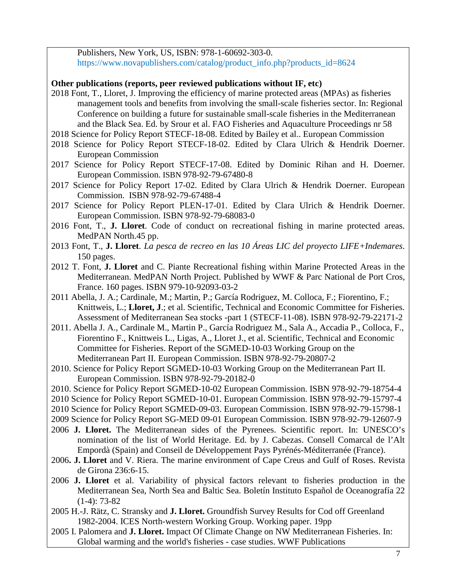Publishers, New York, US, ISBN: 978-1-60692-303-0. [https://www.novapublishers.com/catalog/product\\_info.php?products\\_id=8624](https://www.novapublishers.com/catalog/product_info.php?products_id=8624)

### **Other publications (reports, peer reviewed publications without IF, etc)**

- 2018 Font, T., Lloret, J. Improving the efficiency of marine protected areas (MPAs) as fisheries management tools and benefits from involving the small-scale fisheries sector. In: Regional Conference on building a future for sustainable small-scale fisheries in the Mediterranean and the Black Sea. Ed. by Srour et al. FAO Fisheries and Aquaculture Proceedings nr 58
- 2018 Science for Policy Report STECF-18-08. Edited by Bailey et al.. European Commission
- 2018 Science for Policy Report STECF-18-02. Edited by Clara Ulrich & Hendrik Doerner. European Commission
- 2017 Science for Policy Report STECF-17-08. Edited by Dominic Rihan and H. Doerner. European Commission. ISBN 978-92-79-67480-8
- 2017 Science for Policy Report 17-02. Edited by Clara Ulrich & Hendrik Doerner. European Commission. ISBN 978-92-79-67488-4
- 2017 Science for Policy Report PLEN-17-01. Edited by Clara Ulrich & Hendrik Doerner. European Commission. ISBN 978-92-79-68083-0
- 2016 Font, T., **J. Lloret**. Code of conduct on recreational fishing in marine protected areas. MedPAN North.45 pp.
- 2013 Font, T., **J. Lloret**. *La pesca de recreo en las 10 Áreas LIC del proyecto LIFE+Indemares*. 150 pages.
- 2012 T. Font, **J. Lloret** and C. Piante Recreational fishing within Marine Protected Areas in the Mediterranean. MedPAN North Project. Published by WWF & Parc National de Port Cros, France. 160 pages. ISBN 979-10-92093-03-2
- 2011 Abella, J. A.; Cardinale, M.; Martin, P.; García Rodriguez, M. Colloca, F.; Fiorentino, F.; Knittweis, L.; **Lloret, J**.; et al. Scientific, Technical and Economic Committee for Fisheries. Assessment of Mediterranean Sea stocks -part 1 (STECF-11-08). ISBN 978-92-79-22171-2
- 2011. Abella J. A., Cardinale M., Martin P., García Rodriguez M., Sala A., Accadia P., Colloca, F., Fiorentino F., Knittweis L., Ligas, A., Lloret J., et al. Scientific, Technical and Economic Committee for Fisheries. Report of the SGMED-10-03 Working Group on the Mediterranean Part II. European Commission. ISBN 978-92-79-20807-2
- 2010. Science for Policy Report SGMED-10-03 Working Group on the Mediterranean Part II. European Commission. ISBN 978-92-79-20182-0
- 2010. Science for Policy Report SGMED-10-02 European Commission. ISBN 978-92-79-18754-4
- 2010 Science for Policy Report SGMED-10-01. European Commission. ISBN 978-92-79-15797-4
- 2010 Science for Policy Report SGMED-09-03. European Commission. ISBN 978-92-79-15798-1
- 2009 Science for Policy Report SG-MED 09-01 European Commission. ISBN 978-92-79-12607-9
- 2006 **J. Lloret.** The Mediterranean sides of the Pyrenees. Scientific report. In: UNESCO's nomination of the list of World Heritage. Ed. by J. Cabezas. Consell Comarcal de l'Alt Empordà (Spain) and Conseil de Développement Pays Pyrénés-Méditerranée (France).
- 2006**. J. Lloret** and V. Riera. The marine environment of Cape Creus and Gulf of Roses. Revista de Girona 236:6-15.
- 2006 **J. Lloret** et al. Variability of physical factors relevant to fisheries production in the Mediterranean Sea, North Sea and Baltic Sea. Boletín Instituto Español de Oceanografía 22  $(1-4)$ : 73-82
- 2005 H.-J. Rätz, C. Stransky and **J. Lloret.** Groundfish Survey Results for Cod off Greenland 1982-2004. ICES North-western Working Group. Working paper. 19pp
- 2005 I. Palomera and **J. Lloret.** Impact Of Climate Change on NW Mediterranean Fisheries. In: Global warming and the world's fisheries - case studies. WWF Publications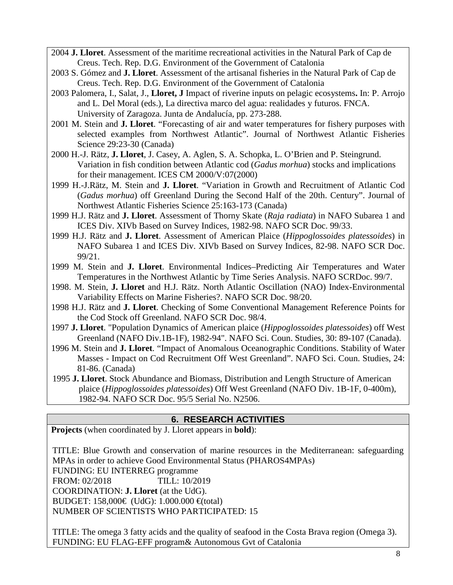- 2004 **J. Lloret**. Assessment of the maritime recreational activities in the Natural Park of Cap de Creus. Tech. Rep. D.G. Environment of the Government of Catalonia
- 2003 S. Gómez and **J. Lloret**. Assessment of the artisanal fisheries in the Natural Park of Cap de Creus. Tech. Rep. D.G. Environment of the Government of Catalonia
- 2003 Palomera, I., Salat, J., **Lloret, J** Impact of riverine inputs on pelagic ecosystems**.** In: P. Arrojo and L. Del Moral (eds.), La directiva marco del agua: realidades y futuros. FNCA. University of Zaragoza. Junta de Andalucía, pp. 273-288.
- 2001 M. Stein and **J. Lloret**. "Forecasting of air and water temperatures for fishery purposes with selected examples from Northwest Atlantic". Journal of Northwest Atlantic Fisheries Science 29:23-30 (Canada)
- 2000 H.-J. Rätz, **J. Lloret**, J. Casey, A. Aglen, S. A. Schopka, L. O'Brien and P. Steingrund. Variation in fish condition between Atlantic cod (*Gadus morhua*) stocks and implications for their management. ICES CM 2000/V:07(2000)
- 1999 H.-J.Rätz, M. Stein and **J. Lloret**. "Variation in Growth and Recruitment of Atlantic Cod (*Gadus morhua*) off Greenland During the Second Half of the 20th. Century". Journal of Northwest Atlantic Fisheries Science 25:163-173 (Canada)
- 1999 H.J. Rätz and **J. Lloret**. Assessment of Thorny Skate (*Raja radiata*) in NAFO Subarea 1 and ICES Div. XIVb Based on Survey Indices, 1982-98. NAFO SCR Doc. 99/33.
- 1999 H.J. Rätz and **J. Lloret**. Assessment of American Plaice (*Hippoglossoides platessoides*) in NAFO Subarea 1 and ICES Div. XIVb Based on Survey Indices, 82-98. NAFO SCR Doc. 99/21.
- 1999 M. Stein and **J. Lloret**. Environmental Indices–Predicting Air Temperatures and Water Temperatures in the Northwest Atlantic by Time Series Analysis. NAFO SCRDoc. 99/7.
- 1998. M. Stein, **J. Lloret** and H.J. Rätz. North Atlantic Oscillation (NAO) Index-Environmental Variability Effects on Marine Fisheries?. NAFO SCR Doc. 98/20.
- 1998 H.J. Rätz and **J. Lloret**. Checking of Some Conventional Management Reference Points for the Cod Stock off Greenland. NAFO SCR Doc. 98/4.
- 1997 **J. Lloret**. "Population Dynamics of American plaice (*Hippoglossoides platessoides*) off West Greenland (NAFO Div.1B-1F), 1982-94". NAFO Sci. Coun. Studies, 30: 89-107 (Canada).
- 1996 M. Stein and **J. Lloret**. "Impact of Anomalous Oceanographic Conditions. Stability of Water Masses - Impact on Cod Recruitment Off West Greenland". NAFO Sci. Coun. Studies, 24: 81-86. (Canada)
- 1995 **J. Lloret**. Stock Abundance and Biomass, Distribution and Length Structure of American plaice (*Hippoglossoides platessoides*) Off West Greenland (NAFO Div. 1B-1F, 0-400m), 1982-94. NAFO SCR Doc. 95/5 Serial No. N2506.

### **6. RESEARCH ACTIVITIES**

**Projects** (when coordinated by J. Lloret appears in **bold**):

TITLE: Blue Growth and conservation of marine resources in the Mediterranean: safeguarding MPAs in order to achieve Good Environmental Status (PHAROS4MPAs) FUNDING: EU INTERREG programme FROM: 02/2018 TILL: 10/2019 COORDINATION: **J. Lloret** (at the UdG). BUDGET: 158,000€ (UdG): 1.000.000 €(total) NUMBER OF SCIENTISTS WHO PARTICIPATED: 15

TITLE: The omega 3 fatty acids and the quality of seafood in the Costa Brava region (Omega 3). FUNDING: EU FLAG-EFF program& Autonomous Gvt of Catalonia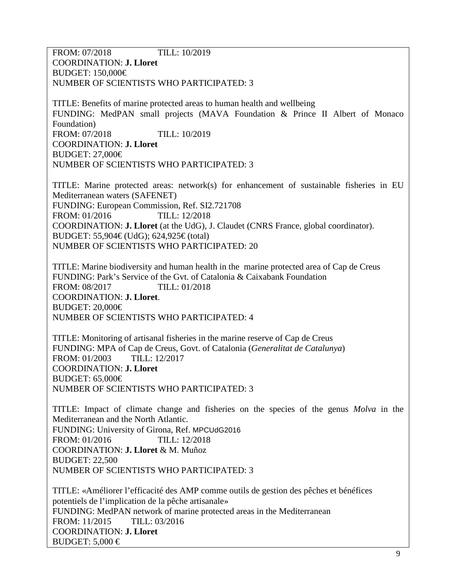FROM: 07/2018 TILL: 10/2019 COORDINATION: **J. Lloret** BUDGET: 150,000€ NUMBER OF SCIENTISTS WHO PARTICIPATED: 3

TITLE: Benefits of marine protected areas to human health and wellbeing FUNDING: MedPAN small projects (MAVA Foundation & Prince II Albert of Monaco Foundation) FROM: 07/2018 TILL: 10/2019 COORDINATION: **J. Lloret** BUDGET: 27,000€ NUMBER OF SCIENTISTS WHO PARTICIPATED: 3

TITLE: Marine protected areas: network(s) for enhancement of sustainable fisheries in EU Mediterranean waters (SAFENET) FUNDING: European Commission, Ref. SI2.721708 FROM: 01/2016 TILL: 12/2018 COORDINATION: **J. Lloret** (at the UdG), J. Claudet (CNRS France, global coordinator). BUDGET: 55,904€ (UdG); 624,925€ (total) NUMBER OF SCIENTISTS WHO PARTICIPATED: 20

TITLE: Marine biodiversity and human health in the marine protected area of Cap de Creus FUNDING: Park's Service of the Gvt. of Catalonia & Caixabank Foundation FROM: 08/2017 TILL: 01/2018 COORDINATION: **J. Lloret**. BUDGET: 20,000€ NUMBER OF SCIENTISTS WHO PARTICIPATED: 4

TITLE: Monitoring of artisanal fisheries in the marine reserve of Cap de Creus FUNDING: MPA of Cap de Creus, Govt. of Catalonia (*Generalitat de Catalunya*) FROM: 01/2003 TILL: 12/2017 COORDINATION: **J. Lloret** BUDGET: 65,000€ NUMBER OF SCIENTISTS WHO PARTICIPATED: 3

TITLE: Impact of climate change and fisheries on the species of the genus *Molva* in the Mediterranean and the North Atlantic. FUNDING: University of Girona, Ref. MPCUdG2016 FROM: 01/2016 TILL: 12/2018 COORDINATION: **J. Lloret** & M. Muñoz BUDGET: 22,500 NUMBER OF SCIENTISTS WHO PARTICIPATED: 3

TITLE: «Améliorer l'efficacité des AMP comme outils de gestion des pêches et bénéfices potentiels de l'implication de la pêche artisanale» FUNDING: MedPAN network of marine protected areas in the Mediterranean FROM: 11/2015 TILL: 03/2016 COORDINATION: **J. Lloret** BUDGET:  $5,000 \in$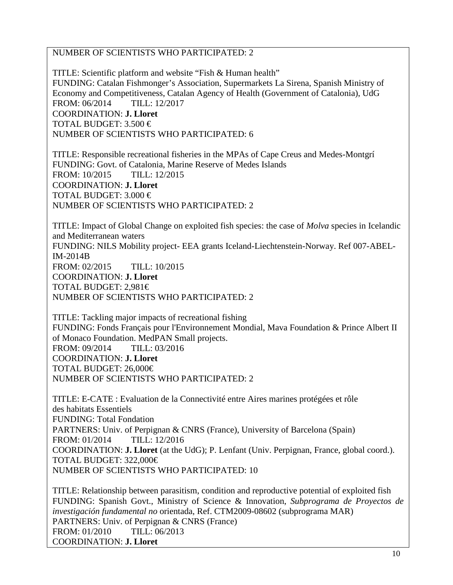### NUMBER OF SCIENTISTS WHO PARTICIPATED: 2

TITLE: Scientific platform and website "Fish & Human health" FUNDING: Catalan Fishmonger's Association, Supermarkets La Sirena, Spanish Ministry of Economy and Competitiveness, Catalan Agency of Health (Government of Catalonia), UdG FROM: 06/2014 TILL: 12/2017 COORDINATION: **J. Lloret** TOTAL BUDGET:  $3.500 \in$ NUMBER OF SCIENTISTS WHO PARTICIPATED: 6

TITLE: Responsible recreational fisheries in the MPAs of Cape Creus and Medes-Montgrí FUNDING: Govt. of Catalonia, Marine Reserve of Medes Islands FROM: 10/2015 TILL: 12/2015 COORDINATION: **J. Lloret** TOTAL BUDGET:  $3.000 \in$ NUMBER OF SCIENTISTS WHO PARTICIPATED: 2

TITLE: Impact of Global Change on exploited fish species: the case of *Molva* species in Icelandic and Mediterranean waters FUNDING: NILS Mobility project- EEA grants Iceland-Liechtenstein-Norway. Ref 007-ABEL-IM-2014B FROM: 02/2015 TILL: 10/2015 COORDINATION: **J. Lloret** TOTAL BUDGET: 2,981€ NUMBER OF SCIENTISTS WHO PARTICIPATED: 2

TITLE: Tackling major impacts of recreational fishing FUNDING: Fonds Français pour l'Environnement Mondial, Mava Foundation & Prince Albert II of Monaco Foundation. MedPAN Small projects. FROM: 09/2014 TILL: 03/2016 COORDINATION: **J. Lloret** TOTAL BUDGET: 26,000€ NUMBER OF SCIENTISTS WHO PARTICIPATED: 2

TITLE: E-CATE : Evaluation de la Connectivité entre Aires marines protégées et rôle des habitats Essentiels FUNDING: Total Fondation PARTNERS: Univ. of Perpignan & CNRS (France), University of Barcelona (Spain) FROM: 01/2014 TILL: 12/2016 COORDINATION: **J. Lloret** (at the UdG); P. Lenfant (Univ. Perpignan, France, global coord.). TOTAL BUDGET: 322,000€ NUMBER OF SCIENTISTS WHO PARTICIPATED: 10

TITLE: Relationship between parasitism, condition and reproductive potential of exploited fish FUNDING: Spanish Govt., Ministry of Science & Innovation, *Subprograma de Proyectos de investigación fundamental no* orientada, Ref. CTM2009-08602 (subprograma MAR) PARTNERS: Univ. of Perpignan & CNRS (France) FROM: 01/2010 TILL: 06/2013 COORDINATION: **J. Lloret**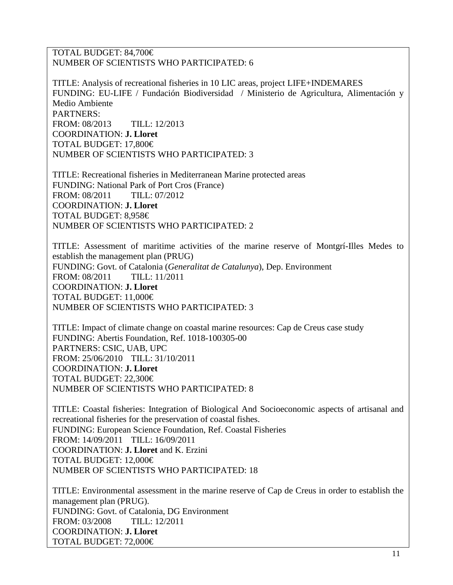TOTAL BUDGET: 84,700€ NUMBER OF SCIENTISTS WHO PARTICIPATED: 6

TITLE: Analysis of recreational fisheries in 10 LIC areas, project LIFE+INDEMARES FUNDING: EU-LIFE / Fundación Biodiversidad / Ministerio de Agricultura, Alimentación y Medio Ambiente PARTNERS: FROM: 08/2013 TILL: 12/2013 COORDINATION: **J. Lloret** TOTAL BUDGET: 17,800€ NUMBER OF SCIENTISTS WHO PARTICIPATED: 3

TITLE: Recreational fisheries in Mediterranean Marine protected areas FUNDING: National Park of Port Cros (France)<br>FROM: 08/2011 TILL: 07/2012 FROM: 08/2011 COORDINATION: **J. Lloret** TOTAL BUDGET: 8,958€ NUMBER OF SCIENTISTS WHO PARTICIPATED: 2

TITLE: Assessment of maritime activities of the marine reserve of Montgrí-Illes Medes to establish the management plan (PRUG) FUNDING: Govt. of Catalonia (*Generalitat de Catalunya*), Dep. Environment FROM: 08/2011 TILL: 11/2011 COORDINATION: **J. Lloret** TOTAL BUDGET: 11,000€ NUMBER OF SCIENTISTS WHO PARTICIPATED: 3

TITLE: Impact of climate change on coastal marine resources: Cap de Creus case study FUNDING: Abertis Foundation, Ref. 1018-100305-00 PARTNERS: CSIC, UAB, UPC FROM: 25/06/2010 TILL: 31/10/2011 COORDINATION: **J. Lloret** TOTAL BUDGET: 22,300€ NUMBER OF SCIENTISTS WHO PARTICIPATED: 8

TITLE: Coastal fisheries: Integration of Biological And Socioeconomic aspects of artisanal and recreational fisheries for the preservation of coastal fishes. FUNDING: European Science Foundation, Ref. Coastal Fisheries FROM: 14/09/2011 TILL: 16/09/2011 COORDINATION: **J. Lloret** and K. Erzini TOTAL BUDGET: 12,000€ NUMBER OF SCIENTISTS WHO PARTICIPATED: 18

TITLE: Environmental assessment in the marine reserve of Cap de Creus in order to establish the management plan (PRUG). FUNDING: Govt. of Catalonia, DG Environment FROM: 03/2008 TILL: 12/2011 COORDINATION: **J. Lloret** TOTAL BUDGET: 72,000€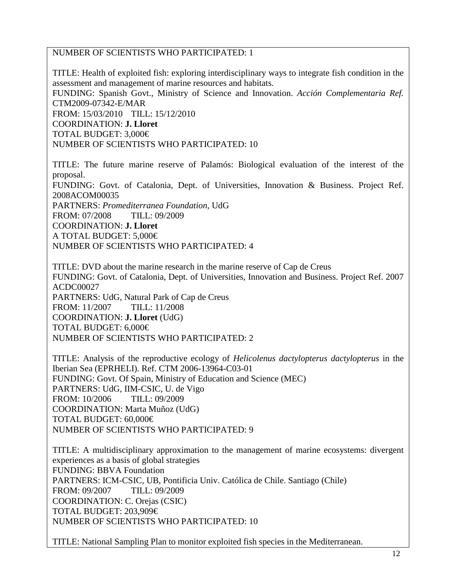#### NUMBER OF SCIENTISTS WHO PARTICIPATED: 1

TITLE: Health of exploited fish: exploring interdisciplinary ways to integrate fish condition in the assessment and management of marine resources and habitats. FUNDING: Spanish Govt., Ministry of Science and Innovation. *Acción Complementaria Ref.* CTM2009-07342-E/MAR FROM: 15/03/2010 TILL: 15/12/2010 COORDINATION: **J. Lloret** TOTAL BUDGET: 3,000€ NUMBER OF SCIENTISTS WHO PARTICIPATED: 10

TITLE: The future marine reserve of Palamós: Biological evaluation of the interest of the proposal. FUNDING: Govt. of Catalonia, Dept. of Universities, Innovation & Business. Project Ref. 2008ACOM00035 PARTNERS: *Promediterranea Foundation*, UdG FROM: 07/2008 TILL: 09/2009 COORDINATION: **J. Lloret** A TOTAL BUDGET: 5,000€ NUMBER OF SCIENTISTS WHO PARTICIPATED: 4

TITLE: DVD about the marine research in the marine reserve of Cap de Creus FUNDING: Govt. of Catalonia, Dept. of Universities, Innovation and Business. Project Ref. 2007 ACDC00027 PARTNERS: UdG, Natural Park of Cap de Creus FROM: 11/2007 TILL: 11/2008 COORDINATION: **J. Lloret** (UdG) TOTAL BUDGET: 6,000€ NUMBER OF SCIENTISTS WHO PARTICIPATED: 2

TITLE: Analysis of the reproductive ecology of *Helicolenus dactylopterus dactylopterus* in the Iberian Sea (EPRHELI). Ref. CTM 2006-13964-C03-01 FUNDING: Govt. Of Spain, Ministry of Education and Science (MEC) PARTNERS: UdG, IIM-CSIC, U. de Vigo FROM: 10/2006 TILL: 09/2009 COORDINATION: Marta Muñoz (UdG) TOTAL BUDGET: 60,000€ NUMBER OF SCIENTISTS WHO PARTICIPATED: 9

TITLE: A multidisciplinary approximation to the management of marine ecosystems: divergent experiences as a basis of global strategies FUNDING: BBVA Foundation PARTNERS: ICM-CSIC, UB, Pontificia Univ. Católica de Chile. Santiago (Chile) FROM: 09/2007 TILL: 09/2009 COORDINATION: C. Orejas (CSIC) TOTAL BUDGET: 203,909€ NUMBER OF SCIENTISTS WHO PARTICIPATED: 10

TITLE: National Sampling Plan to monitor exploited fish species in the Mediterranean.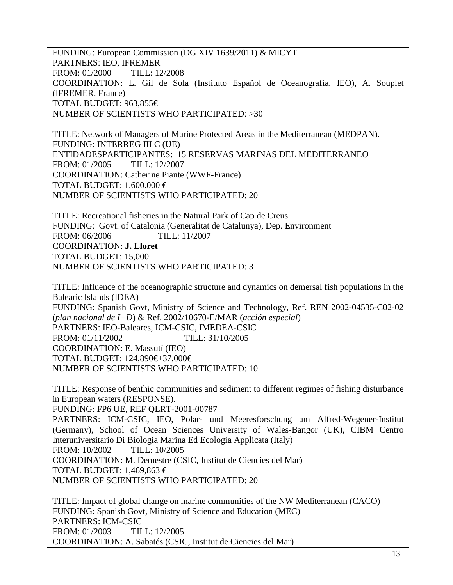FUNDING: European Commission (DG XIV 1639/2011) & MICYT PARTNERS: IEO, IFREMER FROM: 01/2000 TILL: 12/2008 COORDINATION: L. Gil de Sola (Instituto Español de Oceanografía, IEO), A. Souplet (IFREMER, France) TOTAL BUDGET: 963,855€ NUMBER OF SCIENTISTS WHO PARTICIPATED: >30

TITLE: Network of Managers of Marine Protected Areas in the Mediterranean (MEDPAN). FUNDING: INTERREG III C (UE) ENTIDADESPARTICIPANTES: 15 RESERVAS MARINAS DEL MEDITERRANEO FROM: 01/2005 TILL: 12/2007 COORDINATION: Catherine Piante (WWF-France) TOTAL BUDGET: 1.600.000  $\in$ NUMBER OF SCIENTISTS WHO PARTICIPATED: 20

TITLE: Recreational fisheries in the Natural Park of Cap de Creus FUNDING: Govt. of Catalonia (Generalitat de Catalunya), Dep. Environment FROM: 06/2006 TILL: 11/2007 COORDINATION: **J. Lloret** TOTAL BUDGET: 15,000 NUMBER OF SCIENTISTS WHO PARTICIPATED: 3

TITLE: Influence of the oceanographic structure and dynamics on demersal fish populations in the Balearic Islands (IDEA) FUNDING: Spanish Govt, Ministry of Science and Technology, Ref. REN 2002-04535-C02-02 (*plan nacional de I+D*) & Ref. 2002/10670-E/MAR (*acción especial*) PARTNERS: IEO-Baleares, ICM-CSIC, IMEDEA-CSIC FROM: 01/11/2002 TILL: 31/10/2005 COORDINATION: E. Massutí (IEO) TOTAL BUDGET: 124,890€+37,000€ NUMBER OF SCIENTISTS WHO PARTICIPATED: 10

TITLE: Response of benthic communities and sediment to different regimes of fishing disturbance in European waters (RESPONSE).

FUNDING: FP6 UE, REF QLRT-2001-00787

PARTNERS: ICM-CSIC, IEO, Polar- und Meeresforschung am Alfred-Wegener-Institut (Germany), School of Ocean Sciences University of Wales-Bangor (UK), CIBM Centro Interuniversitario Di Biologia Marina Ed Ecologia Applicata (Italy)

FROM: 10/2002 TILL: 10/2005

COORDINATION: M. Demestre (CSIC, Institut de Ciencies del Mar)

TOTAL BUDGET: 1,469,863  $\in$ 

NUMBER OF SCIENTISTS WHO PARTICIPATED: 20

TITLE: Impact of global change on marine communities of the NW Mediterranean (CACO) FUNDING: Spanish Govt, Ministry of Science and Education (MEC) PARTNERS: ICM-CSIC FROM: 01/2003 TILL: 12/2005 COORDINATION: A. Sabatés (CSIC, Institut de Ciencies del Mar)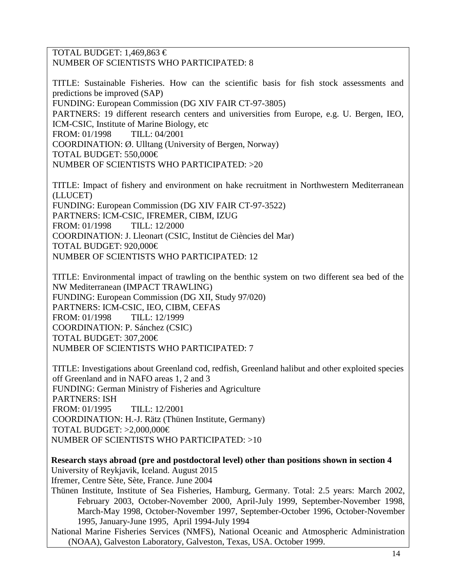#### TOTAL BUDGET: 1,469,863  $\in$ NUMBER OF SCIENTISTS WHO PARTICIPATED: 8

TITLE: Sustainable Fisheries. How can the scientific basis for fish stock assessments and predictions be improved (SAP) FUNDING: European Commission (DG XIV FAIR CT-97-3805) PARTNERS: 19 different research centers and universities from Europe, e.g. U. Bergen, IEO, ICM-CSIC, Institute of Marine Biology, etc FROM: 01/1998 TILL: 04/2001 COORDINATION: Ø. Ulltang (University of Bergen, Norway) TOTAL BUDGET: 550,000€ NUMBER OF SCIENTISTS WHO PARTICIPATED: >20

TITLE: Impact of fishery and environment on hake recruitment in Northwestern Mediterranean (LLUCET) FUNDING: European Commission (DG XIV FAIR CT-97-3522) PARTNERS: ICM-CSIC, IFREMER, CIBM, IZUG FROM: 01/1998 TILL: 12/2000

COORDINATION: J. Lleonart (CSIC, Institut de Ciències del Mar) TOTAL BUDGET: 920,000€ NUMBER OF SCIENTISTS WHO PARTICIPATED: 12

TITLE: Environmental impact of trawling on the benthic system on two different sea bed of the NW Mediterranean (IMPACT TRAWLING) FUNDING: European Commission (DG XII, Study 97/020) PARTNERS: ICM-CSIC, IEO, CIBM, CEFAS FROM: 01/1998 TILL: 12/1999 COORDINATION: P. Sánchez (CSIC) TOTAL BUDGET: 307,200€ NUMBER OF SCIENTISTS WHO PARTICIPATED: 7

TITLE: Investigations about Greenland cod, redfish, Greenland halibut and other exploited species off Greenland and in NAFO areas 1, 2 and 3 FUNDING: German Ministry of Fisheries and Agriculture PARTNERS: ISH FROM: 01/1995 TILL: 12/2001 COORDINATION: H.-J. Rätz (Thünen Institute, Germany) TOTAL BUDGET:  $>2,000,000 \in$ NUMBER OF SCIENTISTS WHO PARTICIPATED: >10

**Research stays abroad (pre and postdoctoral level) other than positions shown in section 4** University of Reykjavik, Iceland. August 2015

Ifremer, Centre Sète, Sète, France. June 2004

Thünen Institute, Institute of Sea Fisheries, Hamburg, Germany. Total: 2.5 years: March 2002, February 2003, October-November 2000, April-July 1999, September-November 1998, March-May 1998, October-November 1997, September-October 1996, October-November 1995, January-June 1995, April 1994-July 1994

National Marine Fisheries Services (NMFS), National Oceanic and Atmospheric Administration (NOAA), Galveston Laboratory, Galveston, Texas, USA. October 1999.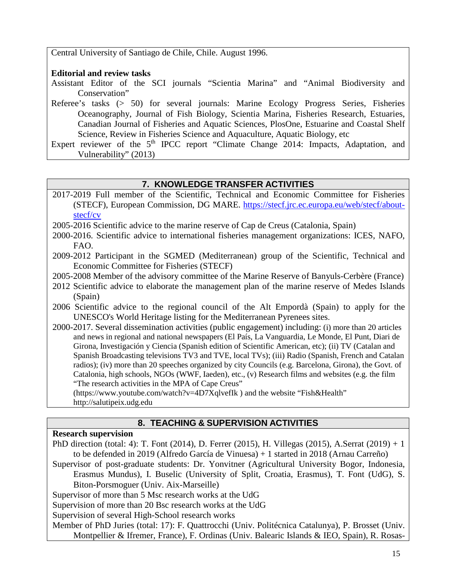Central University of Santiago de Chile, Chile. August 1996.

### **Editorial and review tasks**

- Assistant Editor of the SCI journals "Scientia Marina" and "Animal Biodiversity and Conservation"
- Referee's tasks (> 50) for several journals: Marine Ecology Progress Series, Fisheries Oceanography, Journal of Fish Biology, Scientia Marina, Fisheries Research, Estuaries, Canadian Journal of Fisheries and Aquatic Sciences, PlosOne, Estuarine and Coastal Shelf Science, Review in Fisheries Science and Aquaculture, Aquatic Biology, etc
- Expert reviewer of the  $5<sup>th</sup> \text{IPCC report }$  "Climate Change 2014: Impacts, Adaptation, and Vulnerability" (2013)

### **7. KNOWLEDGE TRANSFER ACTIVITIES**

2017-2019 Full member of the Scientific, Technical and Economic Committee for Fisheries (STECF), European Commission, DG MARE. [https://stecf.jrc.ec.europa.eu/web/stecf/about](https://stecf.jrc.ec.europa.eu/web/stecf/about-stecf/cv)[stecf/cv](https://stecf.jrc.ec.europa.eu/web/stecf/about-stecf/cv)

2005-2016 Scientific advice to the marine reserve of Cap de Creus (Catalonia, Spain)

- 2000-2016. Scientific advice to international fisheries management organizations: ICES, NAFO, FAO.
- 2009-2012 Participant in the SGMED (Mediterranean) group of the Scientific, Technical and Economic Committee for Fisheries (STECF)
- 2005-2008 Member of the advisory committee of the Marine Reserve of Banyuls-Cerbère (France)
- 2012 Scientific advice to elaborate the management plan of the marine reserve of Medes Islands (Spain)
- 2006 Scientific advice to the regional council of the Alt Empordà (Spain) to apply for the UNESCO's World Heritage listing for the Mediterranean Pyrenees sites.
- 2000-2017. Several dissemination activities (public engagement) including: (i) more than 20 articles and news in regional and national newspapers (El País, La Vanguardia, Le Monde, El Punt, Diari de Girona, Investigación y Ciencia (Spanish edition of Scientific American, etc); (ii) TV (Catalan and Spanish Broadcasting televisions TV3 and TVE, local TVs); (iii) Radio (Spanish, French and Catalan radios); (iv) more than 20 speeches organized by city Councils (e.g. Barcelona, Girona), the Govt. of Catalonia, high schools, NGOs (WWF, Iaeden), etc., (v) Research films and websites (e.g. the film "The research activities in the MPA of Cape Creus"

(https://www.youtube.com/watch?v=4D7XqlvefIk ) and the website "Fish&Health" http://salutipeix.udg.edu

## **8. TEACHING & SUPERVISION ACTIVITIES**

### **Research supervision**

PhD direction (total: 4): T. Font (2014), D. Ferrer (2015), H. Villegas (2015), A.Serrat (2019) + 1 to be defended in 2019 (Alfredo García de Vinuesa) + 1 started in 2018 (Arnau Carreño)

Supervisor of post-graduate students: Dr. Yonvitner (Agricultural University Bogor, Indonesia, Erasmus Mundus), I. Buselic (University of Split, Croatia, Erasmus), T. Font (UdG), S. Biton-Porsmoguer (Univ. Aix-Marseille)

Supervisor of more than 5 Msc research works at the UdG

Supervision of more than 20 Bsc research works at the UdG

Supervision of several High-School research works

Member of PhD Juries (total: 17): F. Quattrocchi (Univ. Politécnica Catalunya), P. Brosset (Univ. Montpellier & Ifremer, France), F. Ordinas (Univ. Balearic Islands & IEO, Spain), R. Rosas-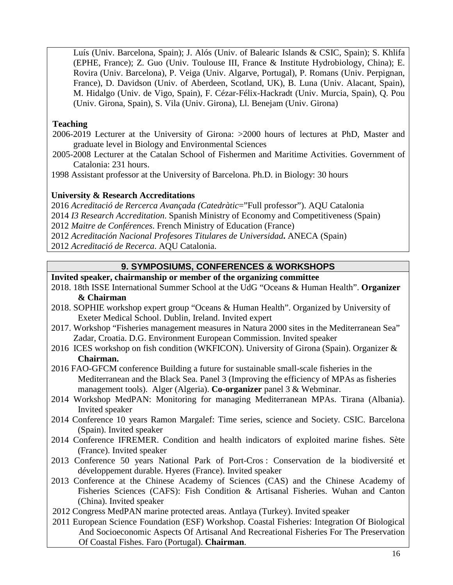Luís (Univ. Barcelona, Spain); J. Alós (Univ. of Balearic Islands & CSIC, Spain); S. Khlifa (EPHE, France); Z. Guo (Univ. Toulouse III, France & Institute Hydrobiology, China); E. Rovira (Univ. Barcelona), P. Veiga (Univ. Algarve, Portugal), P. Romans (Univ. Perpignan, France), D. Davidson (Univ. of Aberdeen, Scotland, UK), B. Luna (Univ. Alacant, Spain), M. Hidalgo (Univ. de Vigo, Spain), F. Cézar-Félix-Hackradt (Univ. Murcia, Spain), Q. Pou (Univ. Girona, Spain), S. Vila (Univ. Girona), Ll. Benejam (Univ. Girona)

### **Teaching**

2006-2019 Lecturer at the University of Girona: >2000 hours of lectures at PhD, Master and graduate level in Biology and Environmental Sciences

2005-2008 Lecturer at the Catalan School of Fishermen and Maritime Activities. Government of Catalonia: 231 hours.

1998 Assistant professor at the University of Barcelona. Ph.D. in Biology: 30 hours

### **University & Research Accreditations**

2016 *Acreditació de Rercerca Avançada (Catedràtic*="Full professor"). AQU Catalonia

2014 *I3 Research Accreditation*. Spanish Ministry of Economy and Competitiveness (Spain)

2012 *Maitre de Conférences*. French Ministry of Education (France)

2012 *Acreditación Nacional Profesores Titulares de Universidad***.** ANECA (Spain)

2012 *Acreditació de Recerca*. AQU Catalonia.

## **9. SYMPOSIUMS, CONFERENCES & WORKSHOPS**

## **Invited speaker, chairmanship or member of the organizing committee**

- 2018. 18th ISSE International Summer School at the UdG "Oceans & Human Health". **Organizer & Chairman**
- 2018. SOPHIE workshop expert group "Oceans & Human Health". Organized by University of Exeter Medical School. Dublin, Ireland. Invited expert
- 2017. Workshop "Fisheries management measures in Natura 2000 sites in the Mediterranean Sea" Zadar, Croatia. D.G. Environment European Commission. Invited speaker
- 2016 ICES workshop on fish condition (WKFICON). University of Girona (Spain). Organizer & **Chairman.**
- 2016 FAO-GFCM conference Building a future for sustainable small-scale fisheries in the Mediterranean and the Black Sea. Panel 3 (Improving the efficiency of MPAs as fisheries management tools). Alger (Algeria). **Co-organizer** panel 3 & Webminar.
- 2014 Workshop MedPAN: Monitoring for managing Mediterranean MPAs. Tirana (Albania). Invited speaker
- 2014 Conference 10 years Ramon Margalef: Time series, science and Society. CSIC. Barcelona (Spain). Invited speaker
- 2014 Conference IFREMER. Condition and health indicators of exploited marine fishes. Sète (France). Invited speaker
- 2013 Conference 50 years National Park of Port-Cros : Conservation de la biodiversité et développement durable. Hyeres (France). Invited speaker
- 2013 Conference at the Chinese Academy of Sciences (CAS) and the Chinese Academy of Fisheries Sciences (CAFS): Fish Condition & Artisanal Fisheries. Wuhan and Canton (China). Invited speaker
- 2012 Congress MedPAN marine protected areas. Antlaya (Turkey). Invited speaker
- 2011 European Science Foundation (ESF) Workshop. Coastal Fisheries: Integration Of Biological And Socioeconomic Aspects Of Artisanal And Recreational Fisheries For The Preservation Of Coastal Fishes. Faro (Portugal). **Chairman**.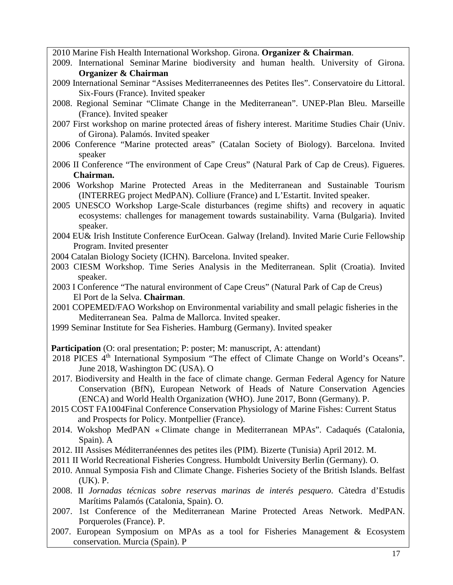2010 Marine Fish Health International Workshop. Girona. **Organizer & Chairman**.

- 2009. International Seminar Marine biodiversity and human health. University of Girona. **Organizer & Chairman**
- 2009 International Seminar "Assises Mediterraneennes des Petites Iles". Conservatoire du Littoral. Six-Fours (France). Invited speaker
- 2008. Regional Seminar "Climate Change in the Mediterranean". UNEP-Plan Bleu. Marseille (France). Invited speaker
- 2007 First workshop on marine protected áreas of fishery interest. Maritime Studies Chair (Univ. of Girona). Palamós. Invited speaker
- 2006 Conference "Marine protected areas" (Catalan Society of Biology). Barcelona. Invited speaker
- 2006 II Conference "The environment of Cape Creus" (Natural Park of Cap de Creus). Figueres. **Chairman.**
- 2006 Workshop Marine Protected Areas in the Mediterranean and Sustainable Tourism (INTERREG project MedPAN). Colliure (France) and L'Estartit. Invited speaker.
- 2005 UNESCO Workshop Large-Scale disturbances (regime shifts) and recovery in aquatic ecosystems: challenges for management towards sustainability. Varna (Bulgaria). Invited speaker.
- 2004 EU& Irish Institute Conference EurOcean. Galway (Ireland). Invited Marie Curie Fellowship Program. Invited presenter
- 2004 Catalan Biology Society (ICHN). Barcelona. Invited speaker.
- 2003 CIESM Workshop. Time Series Analysis in the Mediterranean. Split (Croatia). Invited speaker.
- 2003 I Conference "The natural environment of Cape Creus" (Natural Park of Cap de Creus) El Port de la Selva. **Chairman**.
- 2001 COPEMED/FAO Workshop on Environmental variability and small pelagic fisheries in the Mediterranean Sea. Palma de Mallorca. Invited speaker.
- 1999 Seminar Institute for Sea Fisheries. Hamburg (Germany). Invited speaker

**Participation** (O: oral presentation; P: poster; M: manuscript, A: attendant)

- 2018 PICES 4<sup>th</sup> International Symposium "The effect of Climate Change on World's Oceans". June 2018, Washington DC (USA). O
- 2017. Biodiversity and Health in the face of climate change. German Federal Agency for Nature Conservation (BfN), European Network of Heads of Nature Conservation Agencies (ENCA) and World Health Organization (WHO). June 2017, Bonn (Germany). P.
- 2015 COST FA1004Final Conference Conservation Physiology of Marine Fishes: Current Status and Prospects for Policy. Montpellier (France).
- 2014. Wokshop MedPAN « Climate change in Mediterranean MPAs". Cadaqués (Catalonia, Spain). A
- 2012. III Assises Méditerranéennes des petites iles (PIM). Bizerte (Tunisia) April 2012. M.
- 2011 II World Recreational Fisheries Congress. Humboldt University Berlin (Germany). O.
- 2010. Annual Symposia Fish and Climate Change. Fisheries Society of the British Islands. Belfast (UK). P.
- 2008. II *Jornadas técnicas sobre reservas marinas de interés pesquero*. Càtedra d'Estudis Marítims Palamós (Catalonia, Spain). O.
- 2007. 1st Conference of the Mediterranean Marine Protected Areas Network. MedPAN. Porqueroles (France). P.
- 2007. European Symposium on MPAs as a tool for Fisheries Management & Ecosystem conservation. Murcia (Spain). P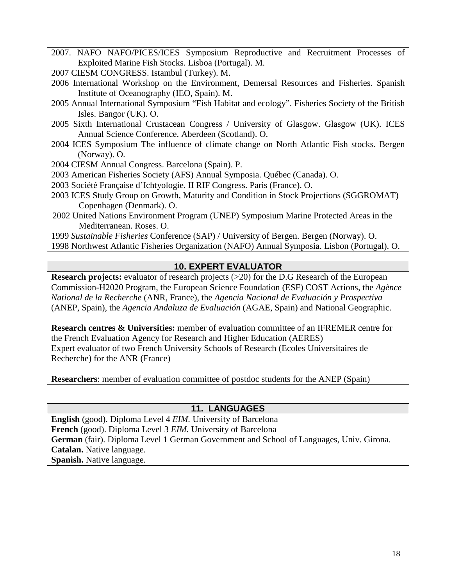2007. NAFO NAFO/PICES/ICES Symposium Reproductive and Recruitment Processes of Exploited Marine Fish Stocks. Lisboa (Portugal). M.

2007 CIESM CONGRESS. Istambul (Turkey). M.

- 2006 International Workshop on the Environment, Demersal Resources and Fisheries. Spanish Institute of Oceanography (IEO, Spain). M.
- 2005 Annual International Symposium "Fish Habitat and ecology". Fisheries Society of the British Isles. Bangor (UK). O.
- 2005 Sixth International Crustacean Congress / University of Glasgow. Glasgow (UK). ICES Annual Science Conference. Aberdeen (Scotland). O.
- 2004 ICES Symposium The influence of climate change on North Atlantic Fish stocks. Bergen (Norway). O.
- 2004 CIESM Annual Congress. Barcelona (Spain). P.
- 2003 American Fisheries Society (AFS) Annual Symposia. Québec (Canada). O.
- 2003 Société Française d'Ichtyologie. II RIF Congress. Paris (France). O.
- 2003 ICES Study Group on Growth, Maturity and Condition in Stock Projections (SGGROMAT) Copenhagen (Denmark). O.
- 2002 United Nations Environment Program (UNEP) Symposium Marine Protected Areas in the Mediterranean. Roses. O.

1999 *Sustainable Fisheries* Conference (SAP) / University of Bergen. Bergen (Norway). O.

1998 Northwest Atlantic Fisheries Organization (NAFO) Annual Symposia. Lisbon (Portugal). O.

## **10. EXPERT EVALUATOR**

**Research projects:** evaluator of research projects (>20) for the D.G Research of the European Commission-H2020 Program, the European Science Foundation (ESF) COST Actions, the *Agènce National de la Recherche* (ANR, France), the *Agencia Nacional de Evaluación y Prospectiva* (ANEP, Spain), the *Agencia Andaluza de Evaluación* (AGAE, Spain) and National Geographic.

**Research centres & Universities:** member of evaluation committee of an IFREMER centre for the French Evaluation Agency for Research and Higher Education (AERES) Expert evaluator of two French University Schools of Research (Ecoles Universitaires de Recherche) for the ANR (France)

**Researchers**: member of evaluation committee of postdoc students for the ANEP (Spain)

### **11. LANGUAGES**

**English** (good). Diploma Level 4 *EIM.* University of Barcelona **French** (good). Diploma Level 3 *EIM.* University of Barcelona **German** (fair). Diploma Level 1 German Government and School of Languages, Univ. Girona. **Catalan.** Native language. **Spanish.** Native language.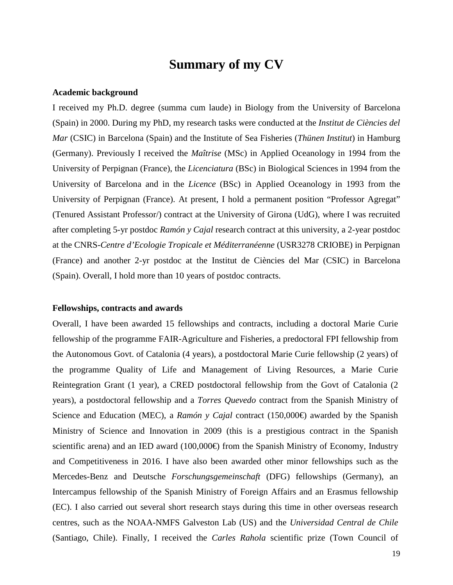# **Summary of my CV**

#### **Academic background**

I received my Ph.D. degree (summa cum laude) in Biology from the University of Barcelona (Spain) in 2000. During my PhD, my research tasks were conducted at the *Institut de Ciències del Mar* (CSIC) in Barcelona (Spain) and the Institute of Sea Fisheries (*Thünen Institut*) in Hamburg (Germany). Previously I received the *Maîtrise* (MSc) in Applied Oceanology in 1994 from the University of Perpignan (France), the *Licenciatura* (BSc) in Biological Sciences in 1994 from the University of Barcelona and in the *Licence* (BSc) in Applied Oceanology in 1993 from the University of Perpignan (France). At present, I hold a permanent position "Professor Agregat" (Tenured Assistant Professor/) contract at the University of Girona (UdG), where I was recruited after completing 5-yr postdoc *Ramón y Cajal* research contract at this university, a 2-year postdoc at the CNRS-*Centre d'Ecologie Tropicale et Méditerranéenne* (USR3278 CRIOBE) in Perpignan (France) and another 2-yr postdoc at the Institut de Ciències del Mar (CSIC) in Barcelona (Spain). Overall, I hold more than 10 years of postdoc contracts.

#### **Fellowships, contracts and awards**

Overall, I have been awarded 15 fellowships and contracts, including a doctoral Marie Curie fellowship of the programme FAIR-Agriculture and Fisheries, a predoctoral FPI fellowship from the Autonomous Govt. of Catalonia (4 years), a postdoctoral Marie Curie fellowship (2 years) of the programme Quality of Life and Management of Living Resources, a Marie Curie Reintegration Grant (1 year), a CRED postdoctoral fellowship from the Govt of Catalonia (2 years), a postdoctoral fellowship and a *Torres Quevedo* contract from the Spanish Ministry of Science and Education (MEC), a *Ramón y Cajal* contract (150,000€) awarded by the Spanish Ministry of Science and Innovation in 2009 (this is a prestigious contract in the Spanish scientific arena) and an IED award  $(100,000\oplus$  from the Spanish Ministry of Economy, Industry and Competitiveness in 2016. I have also been awarded other minor fellowships such as the Mercedes-Benz and Deutsche *Forschungsgemeinschaft* (DFG) fellowships (Germany), an Intercampus fellowship of the Spanish Ministry of Foreign Affairs and an Erasmus fellowship (EC). I also carried out several short research stays during this time in other overseas research centres, such as the NOAA-NMFS Galveston Lab (US) and the *Universidad Central de Chile* (Santiago, Chile). Finally, I received the *Carles Rahola* scientific prize (Town Council of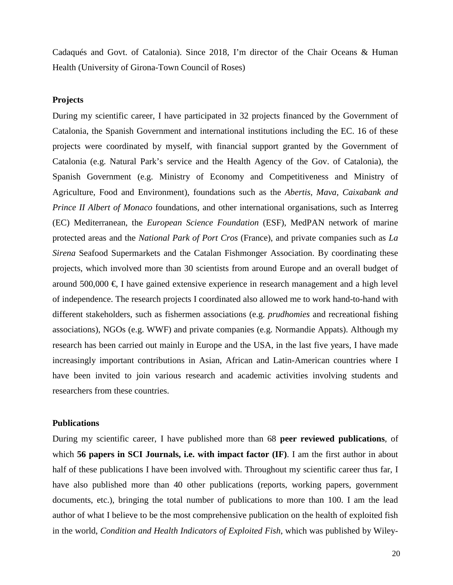Cadaqués and Govt. of Catalonia). Since 2018, I'm director of the Chair Oceans & Human Health (University of Girona-Town Council of Roses)

#### **Projects**

During my scientific career, I have participated in 32 projects financed by the Government of Catalonia, the Spanish Government and international institutions including the EC. 16 of these projects were coordinated by myself, with financial support granted by the Government of Catalonia (e.g. Natural Park's service and the Health Agency of the Gov. of Catalonia), the Spanish Government (e.g. Ministry of Economy and Competitiveness and Ministry of Agriculture, Food and Environment), foundations such as the *Abertis, Mava, Caixabank and Prince II Albert of Monaco* foundations, and other international organisations, such as Interreg (EC) Mediterranean, the *European Science Foundation* (ESF), MedPAN network of marine protected areas and the *National Park of Port Cros* (France), and private companies such as *La Sirena* Seafood Supermarkets and the Catalan Fishmonger Association. By coordinating these projects, which involved more than 30 scientists from around Europe and an overall budget of around  $500,000 \in I$  have gained extensive experience in research management and a high level of independence. The research projects I coordinated also allowed me to work hand-to-hand with different stakeholders, such as fishermen associations (e.g. *prudhomies* and recreational fishing associations), NGOs (e.g. WWF) and private companies (e.g. Normandie Appats). Although my research has been carried out mainly in Europe and the USA, in the last five years, I have made increasingly important contributions in Asian, African and Latin-American countries where I have been invited to join various research and academic activities involving students and researchers from these countries.

#### **Publications**

During my scientific career, I have published more than 68 **peer reviewed publications**, of which **56 papers in SCI Journals, i.e. with impact factor (IF)**. I am the first author in about half of these publications I have been involved with. Throughout my scientific career thus far, I have also published more than 40 other publications (reports, working papers, government documents, etc.), bringing the total number of publications to more than 100. I am the lead author of what I believe to be the most comprehensive publication on the health of exploited fish in the world, *Condition and Health Indicators of Exploited Fish*, which was published by Wiley-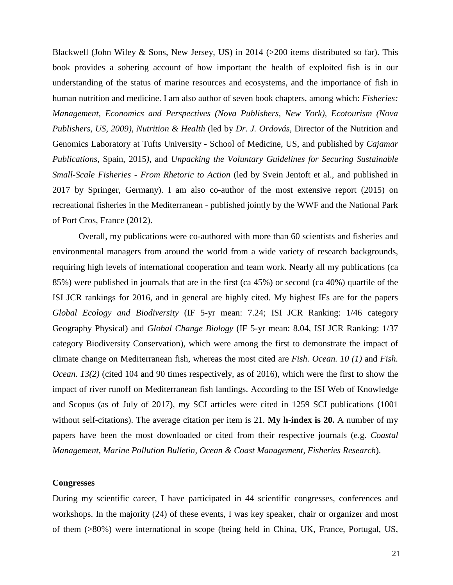Blackwell (John Wiley & Sons, New Jersey, US) in 2014 (>200 items distributed so far). This book provides a sobering account of how important the health of exploited fish is in our understanding of the status of marine resources and ecosystems, and the importance of fish in human nutrition and medicine. I am also author of seven book chapters, among which: *Fisheries: Management, Economics and Perspectives (Nova Publishers, New York), Ecotourism (Nova Publishers, US, 2009), Nutrition & Health* (led by *Dr. J. Ordovás,* Director of the Nutrition and Genomics Laboratory at Tufts University - School of Medicine, US, and published by *Cajamar Publications,* Spain, 2015*)*, and *Unpacking the Voluntary Guidelines for Securing Sustainable Small-Scale Fisheries - From Rhetoric to Action* (led by Svein Jentoft et al., and published in 2017 by Springer, Germany). I am also co-author of the most extensive report (2015) on recreational fisheries in the Mediterranean - published jointly by the WWF and the National Park of Port Cros, France (2012).

Overall, my publications were co-authored with more than 60 scientists and fisheries and environmental managers from around the world from a wide variety of research backgrounds, requiring high levels of international cooperation and team work. Nearly all my publications (ca 85%) were published in journals that are in the first (ca 45%) or second (ca 40%) quartile of the ISI JCR rankings for 2016, and in general are highly cited. My highest IFs are for the papers *Global Ecology and Biodiversity* (IF 5-yr mean: 7.24; ISI JCR Ranking: 1/46 category Geography Physical) and *Global Change Biology* (IF 5-yr mean: 8.04, ISI JCR Ranking: 1/37 category Biodiversity Conservation), which were among the first to demonstrate the impact of climate change on Mediterranean fish, whereas the most cited are *Fish. Ocean. 10 (1)* and *Fish. Ocean. 13(2)* (cited 104 and 90 times respectively, as of 2016), which were the first to show the impact of river runoff on Mediterranean fish landings. According to the ISI Web of Knowledge and Scopus (as of July of 2017), my SCI articles were cited in 1259 SCI publications (1001 without self-citations). The average citation per item is 21. **My h-index is 20.** A number of my papers have been the most downloaded or cited from their respective journals (e.g. *Coastal Management, Marine Pollution Bulletin, Ocean & Coast Management, Fisheries Research*).

#### **Congresses**

During my scientific career, I have participated in 44 scientific congresses, conferences and workshops. In the majority (24) of these events, I was key speaker, chair or organizer and most of them (>80%) were international in scope (being held in China, UK, France, Portugal, US,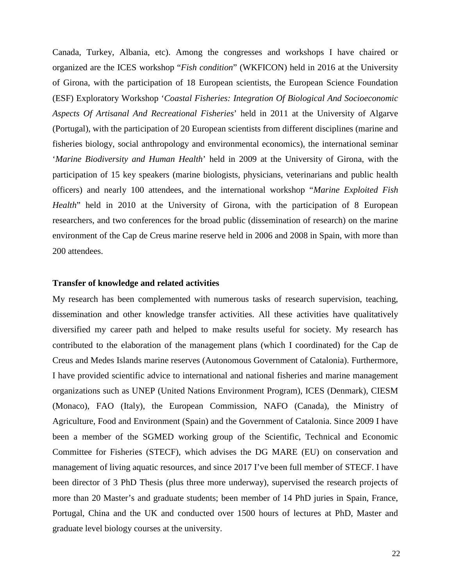Canada, Turkey, Albania, etc). Among the congresses and workshops I have chaired or organized are the ICES workshop "*Fish condition*" (WKFICON) held in 2016 at the University of Girona, with the participation of 18 European scientists, the European Science Foundation (ESF) Exploratory Workshop '*Coastal Fisheries: Integration Of Biological And Socioeconomic Aspects Of Artisanal And Recreational Fisheries*' held in 2011 at the University of Algarve (Portugal), with the participation of 20 European scientists from different disciplines (marine and fisheries biology, social anthropology and environmental economics), the international seminar '*Marine Biodiversity and Human Health*' held in 2009 at the University of Girona, with the participation of 15 key speakers (marine biologists, physicians, veterinarians and public health officers) and nearly 100 attendees, and the international workshop "*Marine Exploited Fish Health*" held in 2010 at the University of Girona, with the participation of 8 European researchers, and two conferences for the broad public (dissemination of research) on the marine environment of the Cap de Creus marine reserve held in 2006 and 2008 in Spain, with more than 200 attendees.

#### **Transfer of knowledge and related activities**

My research has been complemented with numerous tasks of research supervision, teaching, dissemination and other knowledge transfer activities. All these activities have qualitatively diversified my career path and helped to make results useful for society. My research has contributed to the elaboration of the management plans (which I coordinated) for the Cap de Creus and Medes Islands marine reserves (Autonomous Government of Catalonia). Furthermore, I have provided scientific advice to international and national fisheries and marine management organizations such as UNEP (United Nations Environment Program), ICES (Denmark), CIESM (Monaco), FAO (Italy), the European Commission, NAFO (Canada), the Ministry of Agriculture, Food and Environment (Spain) and the Government of Catalonia. Since 2009 I have been a member of the SGMED working group of the Scientific, Technical and Economic Committee for Fisheries (STECF), which advises the DG MARE (EU) on conservation and management of living aquatic resources, and since 2017 I've been full member of STECF. I have been director of 3 PhD Thesis (plus three more underway), supervised the research projects of more than 20 Master's and graduate students; been member of 14 PhD juries in Spain, France, Portugal, China and the UK and conducted over 1500 hours of lectures at PhD, Master and graduate level biology courses at the university.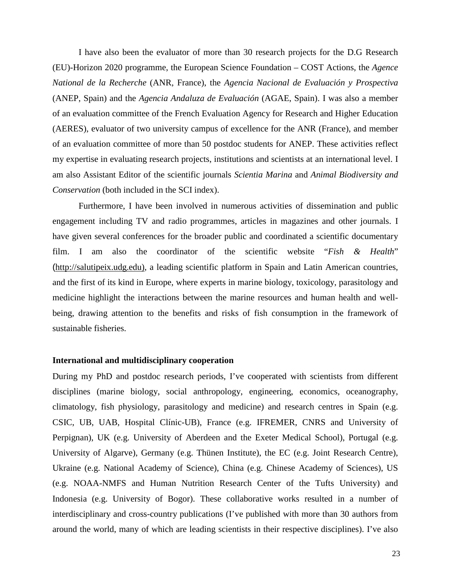I have also been the evaluator of more than 30 research projects for the D.G Research (EU)-Horizon 2020 programme, the European Science Foundation – COST Actions, the *Agence National de la Recherche* (ANR, France), the *Agencia Nacional de Evaluación y Prospectiva* (ANEP, Spain) and the *Agencia Andaluza de Evaluación* (AGAE, Spain). I was also a member of an evaluation committee of the French Evaluation Agency for Research and Higher Education (AERES), evaluator of two university campus of excellence for the ANR (France), and member of an evaluation committee of more than 50 postdoc students for ANEP. These activities reflect my expertise in evaluating research projects, institutions and scientists at an international level. I am also Assistant Editor of the scientific journals *Scientia Marina* and *Animal Biodiversity and Conservation* (both included in the SCI index).

Furthermore, I have been involved in numerous activities of dissemination and public engagement including TV and radio programmes, articles in magazines and other journals. I have given several conferences for the broader public and coordinated a scientific documentary film. I am also the coordinator of the scientific website "*Fish & Health*" ([http://salutipeix.udg.edu\)](http://salutipeix.udg.edu/ca/inici.html), a leading scientific platform in Spain and Latin American countries, and the first of its kind in Europe, where experts in marine biology, toxicology, parasitology and medicine highlight the interactions between the marine resources and human health and wellbeing, drawing attention to the benefits and risks of fish consumption in the framework of sustainable fisheries.

#### **International and multidisciplinary cooperation**

During my PhD and postdoc research periods, I've cooperated with scientists from different disciplines (marine biology, social anthropology, engineering, economics, oceanography, climatology, fish physiology, parasitology and medicine) and research centres in Spain (e.g. CSIC, UB, UAB, Hospital Clínic-UB), France (e.g. IFREMER, CNRS and University of Perpignan), UK (e.g. University of Aberdeen and the Exeter Medical School), Portugal (e.g. University of Algarve), Germany (e.g. Thünen Institute), the EC (e.g. Joint Research Centre), Ukraine (e.g. National Academy of Science), China (e.g. Chinese Academy of Sciences), US (e.g. NOAA-NMFS and Human Nutrition Research Center of the Tufts University) and Indonesia (e.g. University of Bogor). These collaborative works resulted in a number of interdisciplinary and cross-country publications (I've published with more than 30 authors from around the world, many of which are leading scientists in their respective disciplines). I've also